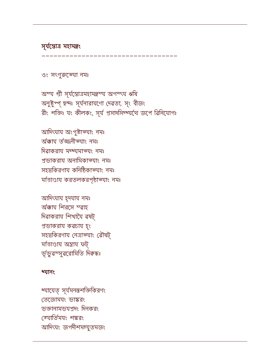ধ্যাযেত্ সূৰ্যমনন্তশক্তিকিরণং তেজোমযং ভাস্করং ভক্তানামভযপ্রদং দিনকরং জ্যোর্তিমযং শঙ্করং আদিৎযং জগদীশমচ্যুতমজং

## ধ্যানং

আদিৎযায হৃদযায নমঃ ৰ্অক্কায শিৱসে স্বাহ দিৱাকরায শিখাযৈ ৱষট্ প্ৰভাকরায কৱচায হৃং সহস্ৰকিরণায নেত্রাভ্যাং ৱৌষট্ মজিণ্ডায অন্ত্ৰায ফট্ ৰ্ভূ'ভুৱস্সুৱরোমিতি দিক্বস্কঃ

আদিৎযায় অংগুষ্টাভ্যাং নমঃ ৰ্অক্কায ৰ্তজ্জনীভ্যাং নমঃ দিৱাকরায মদ্ধ্যমাভযং নমঃ প্ৰভাকরায অনামিকাভ্যাং নমঃ সহস্রকিরণায কনিষ্ঠিকাভ্যাং নমঃ মজিণ্ডায় করতলকরপৃষ্ঠাভ্যাং নমঃ

অস্য শ্ৰী সূৰ্যন্তোত্ৰমহামন্ত্ৰস্য অগস্ৎয ঋষি অনুষ্টুপ্প ছন্দঃ সূৰ্যনারাযণো দেৱতা, সৃং বীজং রীং শক্তিঃ যং কীলকং, সূর্য প্রসাদসিদ্ধ্যগে জপে ৱিনিযোগঃ

ওং সংগুরুজ্যো নমঃ

সূৰ্যপ্তোত্ৰ মহামন্ত্ৰং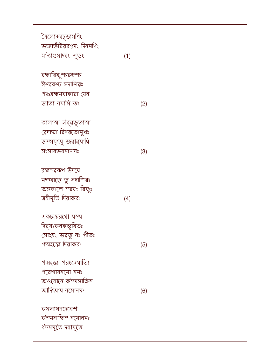| মজািণ্ডমাদ্যং শুভং                  | (1) |
|-------------------------------------|-----|
| ৱহ্মাৱিষ্ণু <del>শ্</del> চরুদ্রশ্চ |     |
| ঈশ্ৱরশ্চ সদাশিৱঃ                    |     |
| পঞ্চৱহ্মমযাকারা যেন                 |     |
| জাতা নমামি তং                       | (2) |
| কালাত্মা সৰ্ৱৰ্ভূতাত্মা             |     |
| ৱেদাত্মা ৱিশ্ৱতোমুখঃ                |     |
| জন্মসৃৎযু জরাৱ্যাধি                 |     |
| সংসারভযনাশনঃ                        | (3) |
| ৱহ্মস্ৱৱৰপ উদযে                     |     |
| মদ্ধ্যাহ্নে তু সদাশিৱঃ              |     |
| অন্তকালে স্ব্বযং ৱিষ্ণুঃ            |     |
| ত্ৰযীসূৰ্ত্তি দিৱাকরঃ               | (4) |
| একচক্ৰরথো যম্য                      |     |
| দিৱ্যঃকনকভূষিতঃ                     |     |
|                                     |     |
| সোহ্যং ভৱতু নঃ প্ৰীতঃ               |     |
| পত্মহস্তো দিৱাকরঃ                   | (5) |
| পত্মহস্তঃ পরংক্যোতিঃ                |     |
| পরেশাযনমো নমঃ                       |     |
| অণ্ডযোনে কম্মসাক্ষিন                |     |
| আদিৎযায নমোনমঃ                      | (6) |
| কমলাসনদেৱেশ                         |     |
| কস্মসাক্ষিন নমোনমঃ                  |     |

ত্ৰৈ<mark>লোক্যচ</mark>ূডামণিং

ভক্তাভীষ্টৱরপ্রদং দিনমণিং